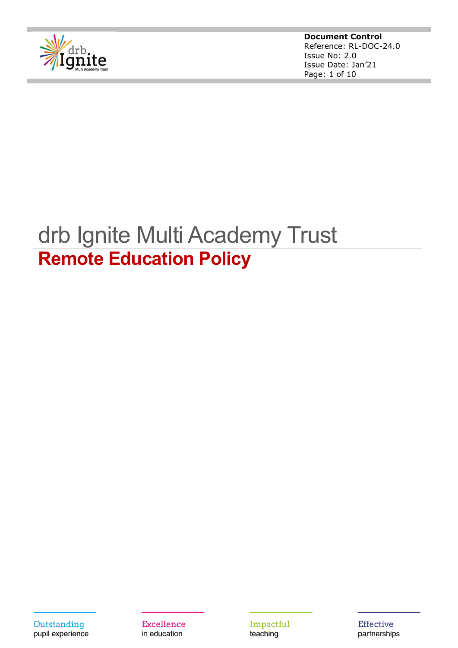

**Document Control** Reference: RL-DOC-24.0 Issue No: 2.0 Issue Date: Jan'21 Page: 1 of 10

# drb Ignite Multi Academy Trust **Remote Education Policy**

Outstanding pupil experience

Excellence in education

Impactful teaching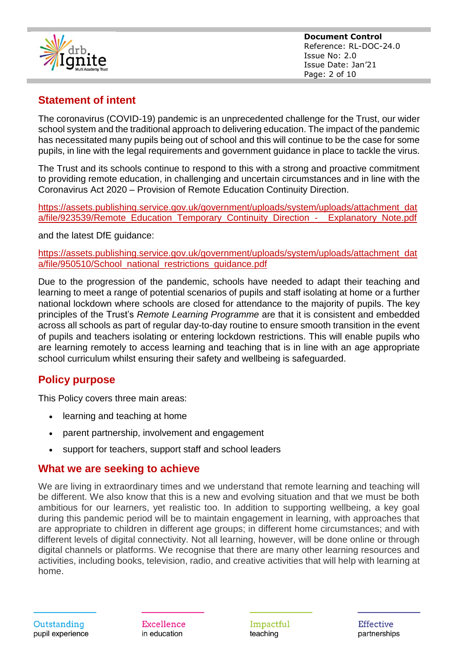

**Document Control** Reference: RL-DOC-24.0 Issue No: 2.0 Issue Date: Jan'21 Page: 2 of 10

# **Statement of intent**

The coronavirus (COVID-19) pandemic is an unprecedented challenge for the Trust, our wider school system and the traditional approach to delivering education. The impact of the pandemic has necessitated many pupils being out of school and this will continue to be the case for some pupils, in line with the legal requirements and government guidance in place to tackle the virus.

The Trust and its schools continue to respond to this with a strong and proactive commitment to providing remote education, in challenging and uncertain circumstances and in line with the Coronavirus Act 2020 – Provision of Remote Education Continuity Direction.

[https://assets.publishing.service.gov.uk/government/uploads/system/uploads/attachment\\_dat](https://assets.publishing.service.gov.uk/government/uploads/system/uploads/attachment_data/file/923539/Remote_Education_Temporary_Continuity_Direction_-__Explanatory_Note.pdf) [a/file/923539/Remote\\_Education\\_Temporary\\_Continuity\\_Direction\\_-\\_\\_Explanatory\\_Note.pdf](https://assets.publishing.service.gov.uk/government/uploads/system/uploads/attachment_data/file/923539/Remote_Education_Temporary_Continuity_Direction_-__Explanatory_Note.pdf)

and the latest DfE guidance:

[https://assets.publishing.service.gov.uk/government/uploads/system/uploads/attachment\\_dat](https://assets.publishing.service.gov.uk/government/uploads/system/uploads/attachment_data/file/950510/School_national_restrictions_guidance.pdf) [a/file/950510/School\\_national\\_restrictions\\_guidance.pdf](https://assets.publishing.service.gov.uk/government/uploads/system/uploads/attachment_data/file/950510/School_national_restrictions_guidance.pdf)

Due to the progression of the pandemic, schools have needed to adapt their teaching and learning to meet a range of potential scenarios of pupils and staff isolating at home or a further national lockdown where schools are closed for attendance to the majority of pupils. The key principles of the Trust's *Remote Learning Programme* are that it is consistent and embedded across all schools as part of regular day-to-day routine to ensure smooth transition in the event of pupils and teachers isolating or entering lockdown restrictions. This will enable pupils who are learning remotely to access learning and teaching that is in line with an age appropriate school curriculum whilst ensuring their safety and wellbeing is safeguarded.

# **Policy purpose**

This Policy covers three main areas:

- learning and teaching at home
- parent partnership, involvement and engagement
- support for teachers, support staff and school leaders

## **What we are seeking to achieve**

We are living in extraordinary times and we understand that remote learning and teaching will be different. We also know that this is a new and evolving situation and that we must be both ambitious for our learners, yet realistic too. In addition to supporting wellbeing, a key goal during this pandemic period will be to maintain engagement in learning, with approaches that are appropriate to children in different age groups; in different home circumstances; and with different levels of digital connectivity. Not all learning, however, will be done online or through digital channels or platforms. We recognise that there are many other learning resources and activities, including books, television, radio, and creative activities that will help with learning at home.

Excellence in education

Impactful teaching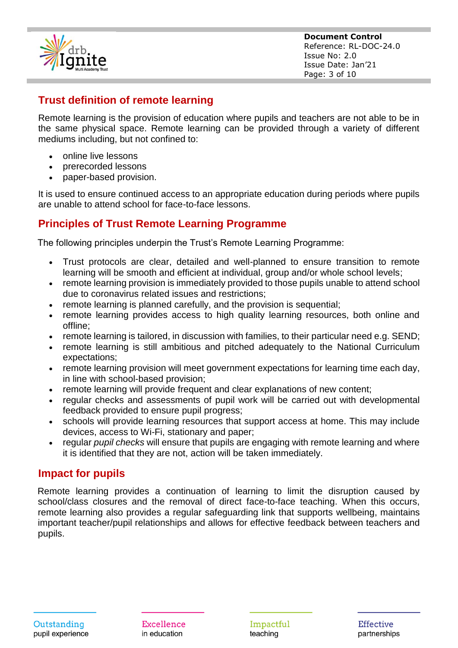

**Document Control** Reference: RL-DOC-24.0 Issue No: 2.0 Issue Date: Jan'21 Page: 3 of 10

# **Trust definition of remote learning**

Remote learning is the provision of education where pupils and teachers are not able to be in the same physical space. Remote learning can be provided through a variety of different mediums including, but not confined to:

- online live lessons
- prerecorded lessons
- paper-based provision.

It is used to ensure continued access to an appropriate education during periods where pupils are unable to attend school for face-to-face lessons.

# **Principles of Trust Remote Learning Programme**

The following principles underpin the Trust's Remote Learning Programme:

- Trust protocols are clear, detailed and well-planned to ensure transition to remote learning will be smooth and efficient at individual, group and/or whole school levels;
- remote learning provision is immediately provided to those pupils unable to attend school due to coronavirus related issues and restrictions;
- remote learning is planned carefully, and the provision is sequential;
- remote learning provides access to high quality learning resources, both online and offline;
- remote learning is tailored, in discussion with families, to their particular need e.g. SEND;
- remote learning is still ambitious and pitched adequately to the National Curriculum expectations;
- remote learning provision will meet government expectations for learning time each day, in line with school-based provision;
- remote learning will provide frequent and clear explanations of new content;
- regular checks and assessments of pupil work will be carried out with developmental feedback provided to ensure pupil progress;
- schools will provide learning resources that support access at home. This may include devices, access to Wi-Fi, stationary and paper;
- regular *pupil checks* will ensure that pupils are engaging with remote learning and where it is identified that they are not, action will be taken immediately.

## **Impact for pupils**

Remote learning provides a continuation of learning to limit the disruption caused by school/class closures and the removal of direct face-to-face teaching. When this occurs, remote learning also provides a regular safeguarding link that supports wellbeing, maintains important teacher/pupil relationships and allows for effective feedback between teachers and pupils.

Excellence in education

Impactful teaching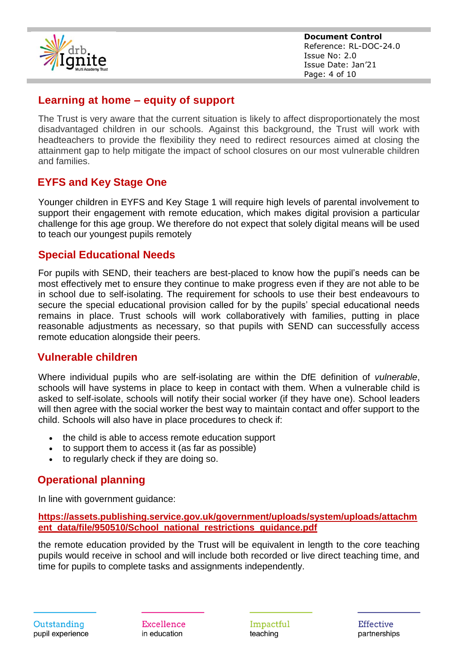

**Document Control** Reference: RL-DOC-24.0 Issue No: 2.0 Issue Date: Jan'21 Page: 4 of 10

## **Learning at home – equity of support**

The Trust is very aware that the current situation is likely to affect disproportionately the most disadvantaged children in our schools. Against this background, the Trust will work with headteachers to provide the flexibility they need to redirect resources aimed at closing the attainment gap to help mitigate the impact of school closures on our most vulnerable children and families.

## **EYFS and Key Stage One**

Younger children in EYFS and Key Stage 1 will require high levels of parental involvement to support their engagement with remote education, which makes digital provision a particular challenge for this age group. We therefore do not expect that solely digital means will be used to teach our youngest pupils remotely

## **Special Educational Needs**

For pupils with SEND, their teachers are best-placed to know how the pupil's needs can be most effectively met to ensure they continue to make progress even if they are not able to be in school due to self-isolating. The requirement for schools to use their best endeavours to secure the special educational provision called for by the pupils' special educational needs remains in place. Trust schools will work collaboratively with families, putting in place reasonable adjustments as necessary, so that pupils with SEND can successfully access remote education alongside their peers.

## **Vulnerable children**

Where individual pupils who are self-isolating are within the DfE definition of *vulnerable*, schools will have systems in place to keep in contact with them. When a vulnerable child is asked to self-isolate, schools will notify their social worker (if they have one). School leaders will then agree with the social worker the best way to maintain contact and offer support to the child. Schools will also have in place procedures to check if:

- the child is able to access remote education support
- to support them to access it (as far as possible)
- to regularly check if they are doing so.

# **Operational planning**

In line with government guidance:

**[https://assets.publishing.service.gov.uk/government/uploads/system/uploads/attachm](https://assets.publishing.service.gov.uk/government/uploads/system/uploads/attachment_data/file/950510/School_national_restrictions_guidance.pdf) [ent\\_data/file/950510/School\\_national\\_restrictions\\_guidance.pdf](https://assets.publishing.service.gov.uk/government/uploads/system/uploads/attachment_data/file/950510/School_national_restrictions_guidance.pdf)**

the remote education provided by the Trust will be equivalent in length to the core teaching pupils would receive in school and will include both recorded or live direct teaching time, and time for pupils to complete tasks and assignments independently.

Excellence in education

Impactful teaching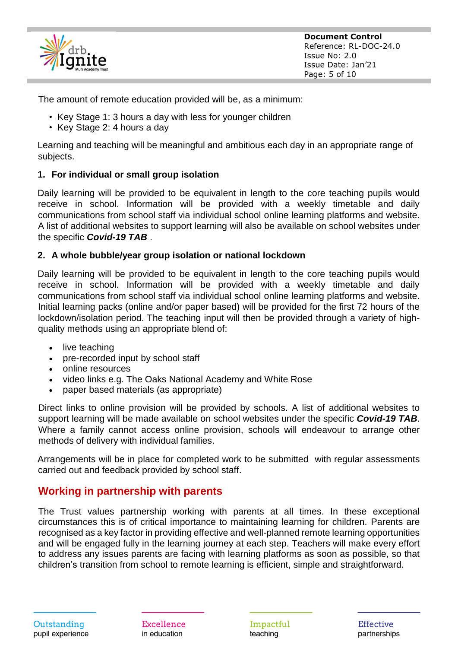

The amount of remote education provided will be, as a minimum:

- Key Stage 1: 3 hours a day with less for younger children
- Key Stage 2: 4 hours a day

Learning and teaching will be meaningful and ambitious each day in an appropriate range of subjects.

#### **1. For individual or small group isolation**

Daily learning will be provided to be equivalent in length to the core teaching pupils would receive in school. Information will be provided with a weekly timetable and daily communications from school staff via individual school online learning platforms and website. A list of additional websites to support learning will also be available on school websites under the specific *Covid-19 TAB* .

#### **2. A whole bubble/year group isolation or national lockdown**

Daily learning will be provided to be equivalent in length to the core teaching pupils would receive in school. Information will be provided with a weekly timetable and daily communications from school staff via individual school online learning platforms and website. Initial learning packs (online and/or paper based) will be provided for the first 72 hours of the lockdown/isolation period. The teaching input will then be provided through a variety of highquality methods using an appropriate blend of:

- live teaching
- pre-recorded input by school staff
- online resources
- video links e.g. The Oaks National Academy and White Rose
- paper based materials (as appropriate)

Direct links to online provision will be provided by schools. A list of additional websites to support learning will be made available on school websites under the specific *Covid-19 TAB*. Where a family cannot access online provision, schools will endeavour to arrange other methods of delivery with individual families.

Arrangements will be in place for completed work to be submitted with regular assessments carried out and feedback provided by school staff.

## **Working in partnership with parents**

The Trust values partnership working with parents at all times. In these exceptional circumstances this is of critical importance to maintaining learning for children. Parents are recognised as a key factor in providing effective and well-planned remote learning opportunities and will be engaged fully in the learning journey at each step. Teachers will make every effort to address any issues parents are facing with learning platforms as soon as possible, so that children's transition from school to remote learning is efficient, simple and straightforward.

Excellence in education

Impactful teaching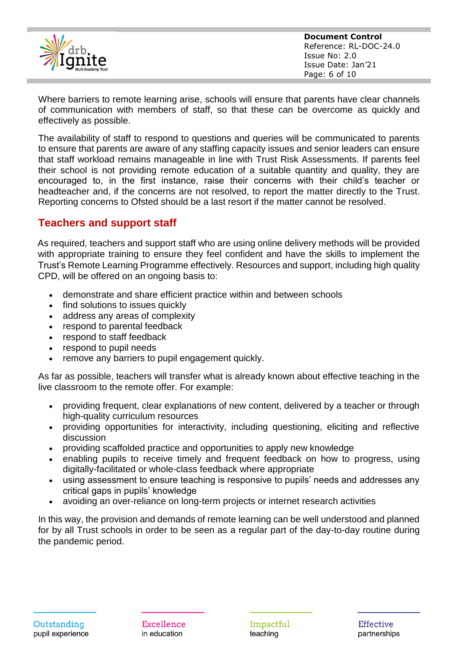

Where barriers to remote learning arise, schools will ensure that parents have clear channels of communication with members of staff, so that these can be overcome as quickly and effectively as possible.

The availability of staff to respond to questions and queries will be communicated to parents to ensure that parents are aware of any staffing capacity issues and senior leaders can ensure that staff workload remains manageable in line with Trust Risk Assessments. If parents feel their school is not providing remote education of a suitable quantity and quality, they are encouraged to, in the first instance, raise their concerns with their child's teacher or headteacher and, if the concerns are not resolved, to report the matter directly to the Trust. Reporting concerns to Ofsted should be a last resort if the matter cannot be resolved.

# **Teachers and support staff**

As required, teachers and support staff who are using online delivery methods will be provided with appropriate training to ensure they feel confident and have the skills to implement the Trust's Remote Learning Programme effectively. Resources and support, including high quality CPD, will be offered on an ongoing basis to:

- demonstrate and share efficient practice within and between schools
- find solutions to issues quickly
- address any areas of complexity
- respond to parental feedback
- respond to staff feedback
- respond to pupil needs
- remove any barriers to pupil engagement quickly.

As far as possible, teachers will transfer what is already known about effective teaching in the live classroom to the remote offer. For example:

- providing frequent, clear explanations of new content, delivered by a teacher or through high-quality curriculum resources
- providing opportunities for interactivity, including questioning, eliciting and reflective discussion
- providing scaffolded practice and opportunities to apply new knowledge
- enabling pupils to receive timely and frequent feedback on how to progress, using digitally-facilitated or whole-class feedback where appropriate
- using assessment to ensure teaching is responsive to pupils' needs and addresses any critical gaps in pupils' knowledge
- avoiding an over-reliance on long-term projects or internet research activities

In this way, the provision and demands of remote learning can be well understood and planned for by all Trust schools in order to be seen as a regular part of the day-to-day routine during the pandemic period.

Excellence in education

Impactful teaching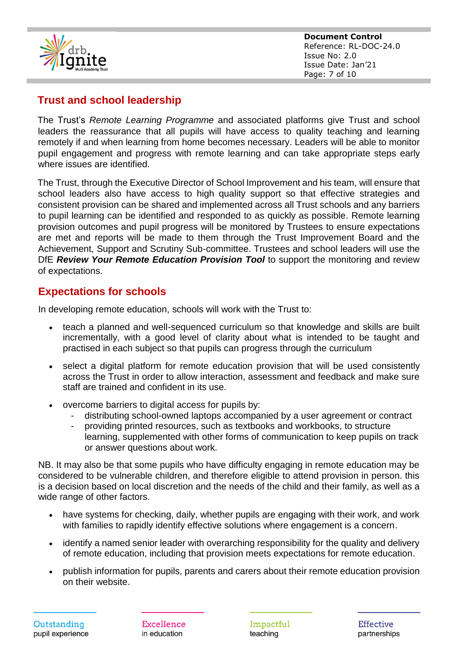

**Document Control** Reference: RL-DOC-24.0 Issue No: 2.0 Issue Date: Jan'21 Page: 7 of 10

# **Trust and school leadership**

The Trust's *Remote Learning Programme* and associated platforms give Trust and school leaders the reassurance that all pupils will have access to quality teaching and learning remotely if and when learning from home becomes necessary. Leaders will be able to monitor pupil engagement and progress with remote learning and can take appropriate steps early where issues are identified.

The Trust, through the Executive Director of School Improvement and his team, will ensure that school leaders also have access to high quality support so that effective strategies and consistent provision can be shared and implemented across all Trust schools and any barriers to pupil learning can be identified and responded to as quickly as possible. Remote learning provision outcomes and pupil progress will be monitored by Trustees to ensure expectations are met and reports will be made to them through the Trust Improvement Board and the Achievement, Support and Scrutiny Sub-committee. Trustees and school leaders will use the DfE *Review Your Remote Education Provision Tool* to support the monitoring and review of expectations.

## **Expectations for schools**

In developing remote education, schools will work with the Trust to:

- teach a planned and well-sequenced curriculum so that knowledge and skills are built incrementally, with a good level of clarity about what is intended to be taught and practised in each subject so that pupils can progress through the curriculum
- select a digital platform for remote education provision that will be used consistently across the Trust in order to allow interaction, assessment and feedback and make sure staff are trained and confident in its use.
- overcome barriers to digital access for pupils by:
	- distributing school-owned laptops accompanied by a user agreement or contract
	- providing printed resources, such as textbooks and workbooks, to structure learning, supplemented with other forms of communication to keep pupils on track or answer questions about work.

NB. It may also be that some pupils who have difficulty engaging in remote education may be considered to be vulnerable children, and therefore eligible to attend provision in person. this is a decision based on local discretion and the needs of the child and their family, as well as a wide range of other factors.

- have systems for checking, daily, whether pupils are engaging with their work, and work with families to rapidly identify effective solutions where engagement is a concern.
- identify a named senior leader with overarching responsibility for the quality and delivery of remote education, including that provision meets expectations for remote education.
- publish information for pupils, parents and carers about their remote education provision on their website.

Excellence in education

Impactful teaching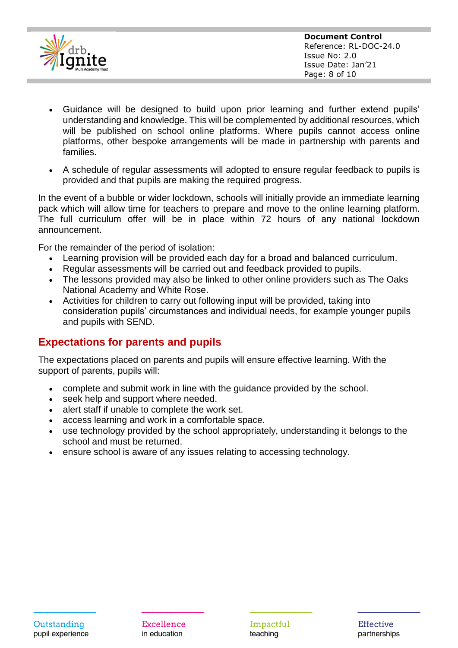

- Guidance will be designed to build upon prior learning and further extend pupils' understanding and knowledge. This will be complemented by additional resources, which will be published on school online platforms. Where pupils cannot access online platforms, other bespoke arrangements will be made in partnership with parents and families.
- A schedule of regular assessments will adopted to ensure regular feedback to pupils is provided and that pupils are making the required progress.

In the event of a bubble or wider lockdown, schools will initially provide an immediate learning pack which will allow time for teachers to prepare and move to the online learning platform. The full curriculum offer will be in place within 72 hours of any national lockdown announcement.

For the remainder of the period of isolation:

- Learning provision will be provided each day for a broad and balanced curriculum.
- Regular assessments will be carried out and feedback provided to pupils.
- The lessons provided may also be linked to other online providers such as The Oaks National Academy and White Rose.
- Activities for children to carry out following input will be provided, taking into consideration pupils' circumstances and individual needs, for example younger pupils and pupils with SEND.

# **Expectations for parents and pupils**

The expectations placed on parents and pupils will ensure effective learning. With the support of parents, pupils will:

- complete and submit work in line with the guidance provided by the school.
- seek help and support where needed.
- alert staff if unable to complete the work set.
- access learning and work in a comfortable space.
- use technology provided by the school appropriately, understanding it belongs to the school and must be returned.
- ensure school is aware of any issues relating to accessing technology.

Excellence in education

Impactful teaching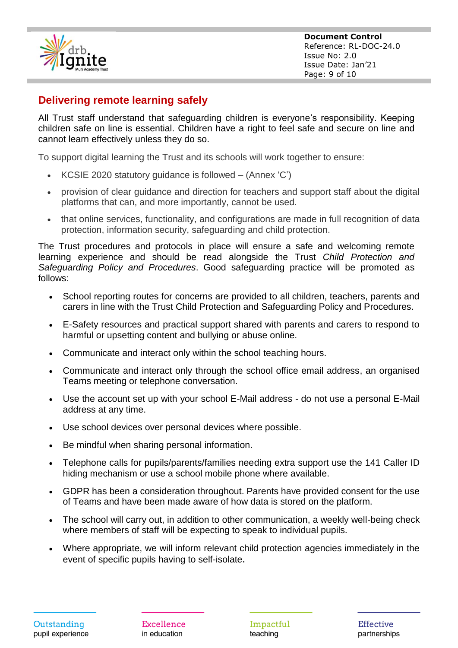

# **Delivering remote learning safely**

All Trust staff understand that safeguarding children is everyone's responsibility. Keeping children safe on line is essential. Children have a right to feel safe and secure on line and cannot learn effectively unless they do so.

To support digital learning the Trust and its schools will work together to ensure:

- KCSIE 2020 statutory guidance is followed (Annex 'C')
- provision of clear guidance and direction for teachers and support staff about the digital platforms that can, and more importantly, cannot be used.
- that online services, functionality, and configurations are made in full recognition of data protection, information security, safeguarding and child protection.

The Trust procedures and protocols in place will ensure a safe and welcoming remote learning experience and should be read alongside the Trust *Child Protection and Safeguarding Policy and Procedures*. Good safeguarding practice will be promoted as follows:

- School reporting routes for concerns are provided to all children, teachers, parents and carers in line with the Trust Child Protection and Safeguarding Policy and Procedures.
- E-Safety resources and practical support shared with parents and carers to respond to harmful or upsetting content and bullying or abuse online.
- Communicate and interact only within the school teaching hours.
- Communicate and interact only through the school office email address, an organised Teams meeting or telephone conversation.
- Use the account set up with your school E-Mail address do not use a personal E-Mail address at any time.
- Use school devices over personal devices where possible.
- Be mindful when sharing personal information.
- Telephone calls for pupils/parents/families needing extra support use the 141 Caller ID hiding mechanism or use a school mobile phone where available.
- GDPR has been a consideration throughout. Parents have provided consent for the use of Teams and have been made aware of how data is stored on the platform.
- The school will carry out, in addition to other communication, a weekly well-being check where members of staff will be expecting to speak to individual pupils.
- Where appropriate, we will inform relevant child protection agencies immediately in the event of specific pupils having to self-isolate.

Excellence in education

Impactful teaching